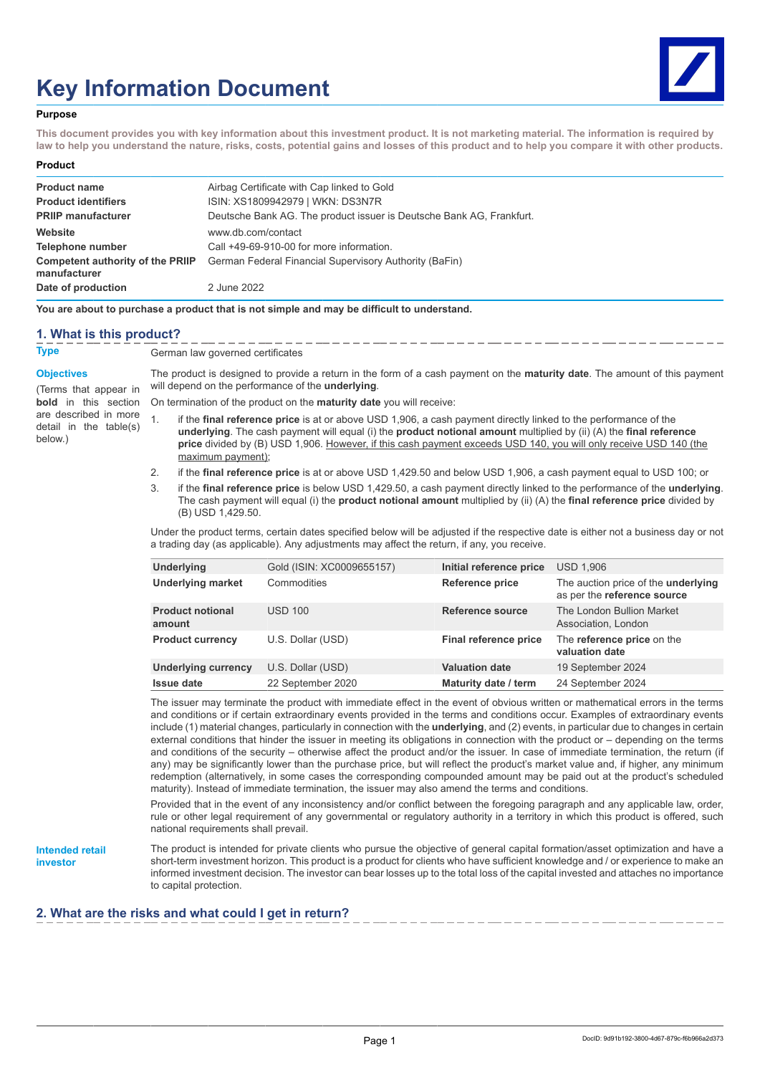# **Key Information Document**



#### **Purpose**

**This document provides you with key information about this investment product. It is not marketing material. The information is required by law to help you understand the nature, risks, costs, potential gains and losses of this product and to help you compare it with other products.**

#### **Product**

| <b>Product name</b>                              | Airbag Certificate with Cap linked to Gold                           |
|--------------------------------------------------|----------------------------------------------------------------------|
| <b>Product identifiers</b>                       | ISIN: XS1809942979   WKN: DS3N7R                                     |
| <b>PRIIP manufacturer</b>                        | Deutsche Bank AG. The product issuer is Deutsche Bank AG. Frankfurt. |
| Website                                          | www.db.com/contact                                                   |
| Telephone number                                 | Call +49-69-910-00 for more information.                             |
| Competent authority of the PRIIP<br>manufacturer | German Federal Financial Supervisory Authority (BaFin)               |
| Date of production                               | 2 June 2022                                                          |

**You are about to purchase a product that is not simple and may be difficult to understand.**

#### **1. What is this product?**

**Type** German law governed certificates

#### **Objectives**

(Terms that appear in **bold** in this section are described in more detail in the table(s) below.)

The product is designed to provide a return in the form of a cash payment on the **maturity date**. The amount of this payment will depend on the performance of the **underlying**.

- On termination of the product on the **maturity date** you will receive:
- 1. if the **final reference price** is at or above USD 1,906, a cash payment directly linked to the performance of the **underlying**. The cash payment will equal (i) the **product notional amount** multiplied by (ii) (A) the **final reference price** divided by (B) USD 1,906. However, if this cash payment exceeds USD 140, you will only receive USD 140 (the maximum payment);
- 2. if the **final reference price** is at or above USD 1,429.50 and below USD 1,906, a cash payment equal to USD 100; or
- 3. if the **final reference price** is below USD 1,429.50, a cash payment directly linked to the performance of the **underlying**. The cash payment will equal (i) the **product notional amount** multiplied by (ii) (A) the **final reference price** divided by  $(B)$  USD 1,429.50.

Under the product terms, certain dates specified below will be adjusted if the respective date is either not a business day or not a trading day (as applicable). Any adjustments may affect the return, if any, you receive.

| Underlying                        | Gold (ISIN: XC0009655157) | Initial reference price | <b>USD 1,906</b>                                                   |
|-----------------------------------|---------------------------|-------------------------|--------------------------------------------------------------------|
| <b>Underlying market</b>          | Commodities               | <b>Reference price</b>  | The auction price of the underlying<br>as per the reference source |
| <b>Product notional</b><br>amount | <b>USD 100</b>            | Reference source        | The London Bullion Market<br>Association, London                   |
| <b>Product currency</b>           | U.S. Dollar (USD)         | Final reference price   | The reference price on the<br>valuation date                       |
| Underlying currency               | U.S. Dollar (USD)         | <b>Valuation date</b>   | 19 September 2024                                                  |
| <b>Issue date</b>                 | 22 September 2020         | Maturity date / term    | 24 September 2024                                                  |

The issuer may terminate the product with immediate effect in the event of obvious written or mathematical errors in the terms and conditions or if certain extraordinary events provided in the terms and conditions occur. Examples of extraordinary events include (1) material changes, particularly in connection with the **underlying**, and (2) events, in particular due to changes in certain external conditions that hinder the issuer in meeting its obligations in connection with the product or – depending on the terms and conditions of the security – otherwise affect the product and/or the issuer. In case of immediate termination, the return (if any) may be significantly lower than the purchase price, but will reflect the product's market value and, if higher, any minimum redemption (alternatively, in some cases the corresponding compounded amount may be paid out at the product's scheduled maturity). Instead of immediate termination, the issuer may also amend the terms and conditions.

Provided that in the event of any inconsistency and/or conflict between the foregoing paragraph and any applicable law, order, rule or other legal requirement of any governmental or regulatory authority in a territory in which this product is offered, such national requirements shall prevail.

#### **Intended retail investor**

The product is intended for private clients who pursue the objective of general capital formation/asset optimization and have a short-term investment horizon. This product is a product for clients who have sufficient knowledge and / or experience to make an informed investment decision. The investor can bear losses up to the total loss of the capital invested and attaches no importance to capital protection.

## **2. What are the risks and what could I get in return?**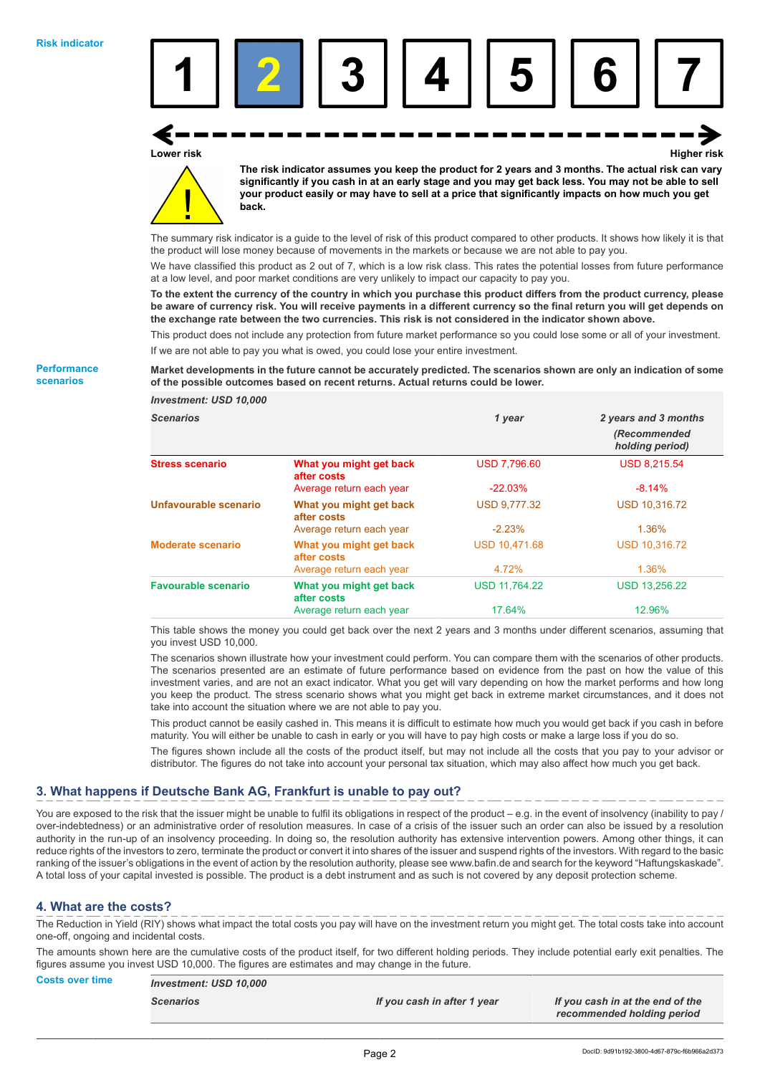

## **Lower risk Higher risk**

**The risk indicator assumes you keep the product for 2 years and 3 months. The actual risk can vary significantly if you cash in at an early stage and you may get back less. You may not be able to sell your product easily or may have to sell at a price that significantly impacts on how much you get back.**

The summary risk indicator is a guide to the level of risk of this product compared to other products. It shows how likely it is that the product will lose money because of movements in the markets or because we are not able to pay you.

We have classified this product as 2 out of 7, which is a low risk class. This rates the potential losses from future performance at a low level, and poor market conditions are very unlikely to impact our capacity to pay you.

**To the extent the currency of the country in which you purchase this product differs from the product currency, please be aware of currency risk. You will receive payments in a different currency so the final return you will get depends on the exchange rate between the two currencies. This risk is not considered in the indicator shown above.**

This product does not include any protection from future market performance so you could lose some or all of your investment. If we are not able to pay you what is owed, you could lose your entire investment.

#### **Market developments in the future cannot be accurately predicted. The scenarios shown are only an indication of some of the possible outcomes based on recent returns. Actual returns could be lower.**

*Investment: USD 10,000 Scenarios 1 year 2 years and 3 months (Recommended holding period)* **Stress scenario What you might get back after costs** USD 7,796.60 USD 8,215.54 Average return each year -22.03% -8.14% **Unfavourable scenario What you might get back after costs** USD 9,777.32 USD 10,316.72 Average return each year -2.23% 1.36% **Moderate scenario What you might get back after costs** USD 10,471.68 USD 10,316.72 Average return each year 1.36% **Favourable scenario What you might get back after costs** USD 11,764.22 USD 13,256.22 Average return each year 17.64% 12.96%

This table shows the money you could get back over the next 2 years and 3 months under different scenarios, assuming that you invest USD 10,000.

The scenarios shown illustrate how your investment could perform. You can compare them with the scenarios of other products. The scenarios presented are an estimate of future performance based on evidence from the past on how the value of this investment varies, and are not an exact indicator. What you get will vary depending on how the market performs and how long you keep the product. The stress scenario shows what you might get back in extreme market circumstances, and it does not take into account the situation where we are not able to pay you.

This product cannot be easily cashed in. This means it is difficult to estimate how much you would get back if you cash in before maturity. You will either be unable to cash in early or you will have to pay high costs or make a large loss if you do so.

The figures shown include all the costs of the product itself, but may not include all the costs that you pay to your advisor or distributor. The figures do not take into account your personal tax situation, which may also affect how much you get back.

## **3. What happens if Deutsche Bank AG, Frankfurt is unable to pay out?**

You are exposed to the risk that the issuer might be unable to fulfil its obligations in respect of the product – e.g. in the event of insolvency (inability to pay / over-indebtedness) or an administrative order of resolution measures. In case of a crisis of the issuer such an order can also be issued by a resolution authority in the run-up of an insolvency proceeding. In doing so, the resolution authority has extensive intervention powers. Among other things, it can reduce rights of the investors to zero, terminate the product or convert it into shares of the issuer and suspend rights of the investors. With regard to the basic ranking of the issuer's obligations in the event of action by the resolution authority, please see www.bafin.de and search for the keyword "Haftungskaskade". A total loss of your capital invested is possible. The product is a debt instrument and as such is not covered by any deposit protection scheme.

## **4. What are the costs?**

The Reduction in Yield (RIY) shows what impact the total costs you pay will have on the investment return you might get. The total costs take into account one-off, ongoing and incidental costs.

The amounts shown here are the cumulative costs of the product itself, for two different holding periods. They include potential early exit penalties. The figures assume you invest USD 10,000. The figures are estimates and may change in the future.

## **Costs over time** *Investment: USD 10,000 Scenarios If you cash in after 1 year If you cash in at the end of the recommended holding period*

**Performance**

**scenarios**